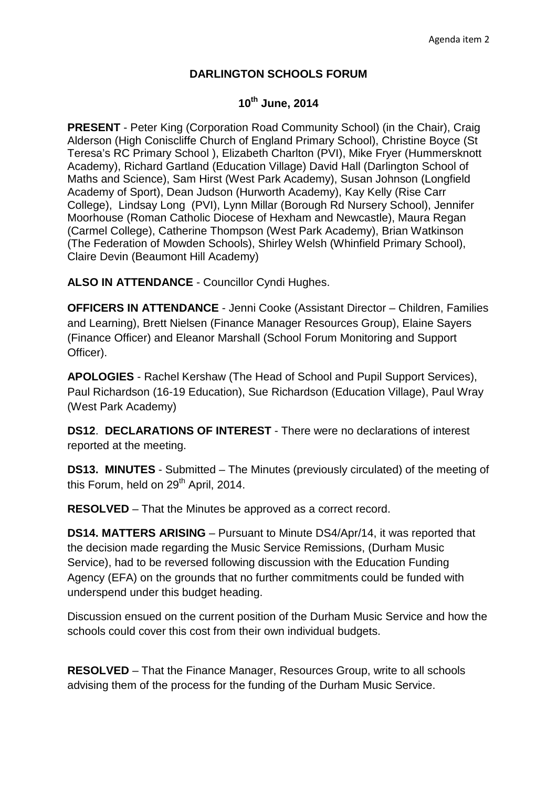## **DARLINGTON SCHOOLS FORUM**

## **10th June, 2014**

**PRESENT** - Peter King (Corporation Road Community School) (in the Chair), Craig Alderson (High Coniscliffe Church of England Primary School), Christine Boyce (St Teresa's RC Primary School ), Elizabeth Charlton (PVI), Mike Fryer (Hummersknott Academy), Richard Gartland (Education Village) David Hall (Darlington School of Maths and Science), Sam Hirst (West Park Academy), Susan Johnson (Longfield Academy of Sport), Dean Judson (Hurworth Academy), Kay Kelly (Rise Carr College), Lindsay Long (PVI), Lynn Millar (Borough Rd Nursery School), Jennifer Moorhouse (Roman Catholic Diocese of Hexham and Newcastle), Maura Regan (Carmel College), Catherine Thompson (West Park Academy), Brian Watkinson (The Federation of Mowden Schools), Shirley Welsh (Whinfield Primary School), Claire Devin (Beaumont Hill Academy)

**ALSO IN ATTENDANCE** - Councillor Cyndi Hughes.

**OFFICERS IN ATTENDANCE** - Jenni Cooke (Assistant Director – Children, Families and Learning), Brett Nielsen (Finance Manager Resources Group), Elaine Sayers (Finance Officer) and Eleanor Marshall (School Forum Monitoring and Support Officer).

**APOLOGIES** - Rachel Kershaw (The Head of School and Pupil Support Services), Paul Richardson (16-19 Education), Sue Richardson (Education Village), Paul Wray (West Park Academy)

**DS12**. **DECLARATIONS OF INTEREST** - There were no declarations of interest reported at the meeting.

**DS13. MINUTES** - Submitted – The Minutes (previously circulated) of the meeting of this Forum, held on  $29<sup>th</sup>$  April, 2014.

**RESOLVED** – That the Minutes be approved as a correct record.

**DS14. MATTERS ARISING** – Pursuant to Minute DS4/Apr/14, it was reported that the decision made regarding the Music Service Remissions, (Durham Music Service), had to be reversed following discussion with the Education Funding Agency (EFA) on the grounds that no further commitments could be funded with underspend under this budget heading.

Discussion ensued on the current position of the Durham Music Service and how the schools could cover this cost from their own individual budgets.

**RESOLVED** – That the Finance Manager, Resources Group, write to all schools advising them of the process for the funding of the Durham Music Service.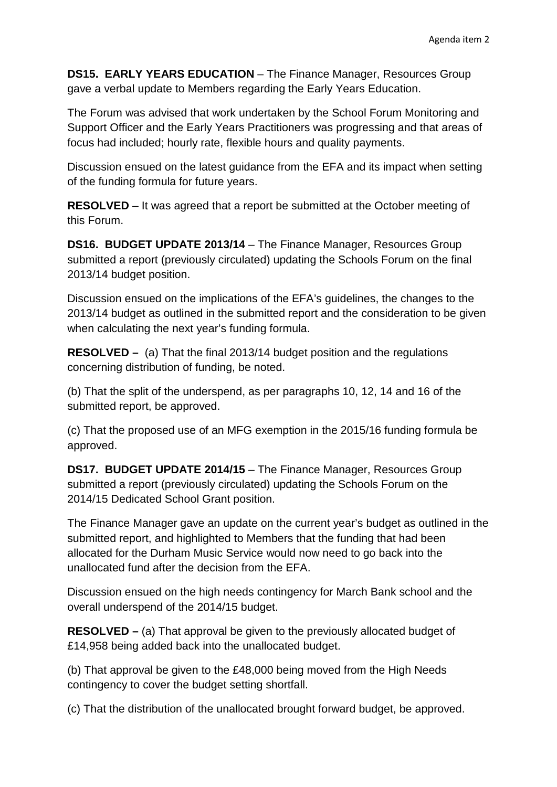**DS15. EARLY YEARS EDUCATION** – The Finance Manager, Resources Group gave a verbal update to Members regarding the Early Years Education.

The Forum was advised that work undertaken by the School Forum Monitoring and Support Officer and the Early Years Practitioners was progressing and that areas of focus had included; hourly rate, flexible hours and quality payments.

Discussion ensued on the latest guidance from the EFA and its impact when setting of the funding formula for future years.

**RESOLVED** – It was agreed that a report be submitted at the October meeting of this Forum.

**DS16. BUDGET UPDATE 2013/14** – The Finance Manager, Resources Group submitted a report (previously circulated) updating the Schools Forum on the final 2013/14 budget position.

Discussion ensued on the implications of the EFA's guidelines, the changes to the 2013/14 budget as outlined in the submitted report and the consideration to be given when calculating the next year's funding formula.

**RESOLVED –** (a) That the final 2013/14 budget position and the regulations concerning distribution of funding, be noted.

(b) That the split of the underspend, as per paragraphs 10, 12, 14 and 16 of the submitted report, be approved.

(c) That the proposed use of an MFG exemption in the 2015/16 funding formula be approved.

**DS17. BUDGET UPDATE 2014/15** – The Finance Manager, Resources Group submitted a report (previously circulated) updating the Schools Forum on the 2014/15 Dedicated School Grant position.

The Finance Manager gave an update on the current year's budget as outlined in the submitted report, and highlighted to Members that the funding that had been allocated for the Durham Music Service would now need to go back into the unallocated fund after the decision from the EFA.

Discussion ensued on the high needs contingency for March Bank school and the overall underspend of the 2014/15 budget.

**RESOLVED –** (a) That approval be given to the previously allocated budget of £14,958 being added back into the unallocated budget.

(b) That approval be given to the £48,000 being moved from the High Needs contingency to cover the budget setting shortfall.

(c) That the distribution of the unallocated brought forward budget, be approved.